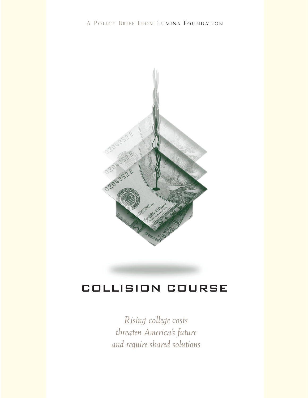

## COLLISION COURSE

*Rising college costs threaten America's future and require shared solutions*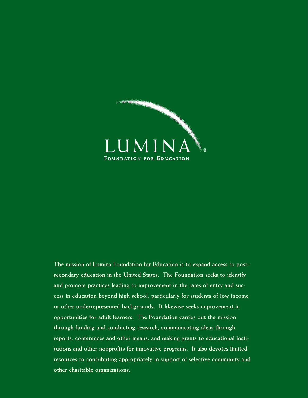

**The mission of Lumina Foundation for Education is to expand access to postsecondary education in the United States. The Foundation seeks to identify and promote practices leading to improvement in the rates of entry and success in education beyond high school, particularly for students of low income or other underrepresented backgrounds. It likewise seeks improvement in opportunities for adult learners. The Foundation carries out the mission through funding and conducting research, communicating ideas through reports, conferences and other means, and making grants to educational institutions and other nonprofits for innovative programs. It also devotes limited resources to contributing appropriately in support of selective community and other charitable organizations.**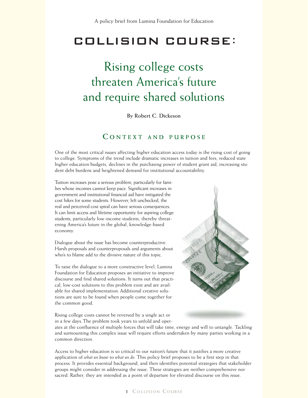## **COLLISION COURSE:**

# Rising college costs threaten America's future and require shared solutions

**By Robert C. Dickeson**

## **C ONTEXT AND PURPOSE**

One of the most critical issues affecting higher education access today is the rising cost of going to college. Symptoms of the trend include dramatic increases in tuition and fees, reduced state higher education budgets, declines in the purchasing power of student grant aid, increasing student debt burdens and heightened demand for institutional accountability.

Tuition increases pose a serious problem, particularly for families whose incomes cannot keep pace. Significant increases in government and institutional financial aid have mitigated the cost hikes for some students. However, left unchecked, the real and perceived cost spiral can have serious consequences. It can limit access and lifetime opportunity for aspiring college students, particularly low-income students, thereby threatening America's future in the global, knowledge-based economy.

Dialogue about the issue has become counterproductive. Harsh proposals and counterproposals and arguments about who's to blame add to the divisive nature of this topic.

To raise the dialogue to a more constructive level, Lumina Foundation for Education proposes an initiative to improve discourse and find shared solutions. It turns out that practical, low-cost solutions to this problem exist and are available for shared implementation. Additional creative solutions are sure to be found when people come together for the common good.



Rising college costs cannot be reversed by a single act or in a few days.The problem took years to unfold and oper-

ates at the confluence of multiple forces that will take time, energy and will to untangle. Tackling and surmounting this complex issue will require efforts undertaken by many parties working in a common direction.

Access to higher education is so critical to our nation's future that it justifies a more creative application of *what we know* to *what we do.* This policy brief proposes to be a first step in that process. It provides essential background, and then identifies potential strategies that stakeholder groups might consider in addressing the issue. These strategies are neither comprehensive nor sacred. Rather, they are intended as a point of departure for elevated discourse on this issue.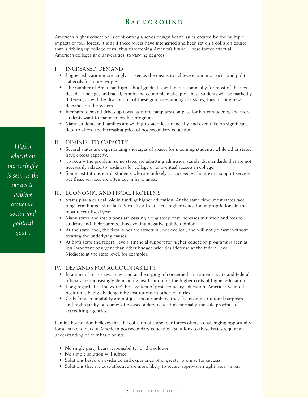## **B ACKGROUND**

American higher education is confronting a series of significant issues created by the multiple impacts of four forces. It is as if these forces have intensified and been set on a collision course that is driving up college costs, thus threatening America's future. These forces affect all American colleges and universities, to varying degrees:

### I. INCREASED DEMAND

- Higher education increasingly is seen as the means to achieve economic, social and political goals for more people.
- The number of American high school graduates will increase annually for most of the next decade. The ages and racial, ethnic and economic makeup of these students will be markedly different, as will the distribution of these graduates among the states, thus placing new demands on the system.
- Increased demand drives up costs, as more campuses compete for better students, and more students want to major in costlier programs.
- Many students and families are willing to sacrifice financially and even take on significant debt to afford the increasing price of postsecondary education.

#### II. DIMINISHED CAPACITY

- Several states are experiencing shortages of spaces for incoming students, while other states have excess capacity.
- To rectify the problem, some states are adjusting admission standards, standards that are not necessarily related to readiness for college or to eventual success in college.
- Some institutions enroll students who are unlikely to succeed without extra support services, but these services are often cut in hard times.

#### III. ECONOMIC AND FISCAL PROBLEMS

- States play a critical role in funding higher education. At the same time, most states face long-term budget shortfalls. Virtually all states cut higher education appropriations in the most recent fiscal year.
- Many states and institutions are passing along steep cost increases in tuition and fees to students and their parents, thus evoking negative public opinion.
- At the state level, the fiscal woes are structural, not cyclical, and will not go away without treating the underlying causes.
- At both state and federal levels, financial support for higher education programs is seen as less important or urgent than other budget priorities (defense at the federal level, Medicaid at the state level, for example).

#### IV. DEMANDS FOR ACCOUNTABILITY

- In a time of scarce resources, and at the urging of concerned constituents, state and federal officials are increasingly demanding justification for the higher costs of higher education.
- Long regarded as the world's best system of postsecondary education, America's vaunted position is being challenged by institutions in other countries.
- Calls for accountability are not just about numbers; they focus on institutional purposes and high-quality outcomes of postsecondary education, normally the sole province of accrediting agencies.

Lumina Foundation believes that the collision of these four forces offers a challenging opportunity for all stakeholders of American postsecondary education. Solutions to these issues require an understanding of four basic points:

- No single party bears responsibility for the solution.
- No simple solution will suffice.
- Solutions based on evidence and experience offer greater promise for success.
- Solutions that are cost-effective are more likely to secure approval in tight fiscal times.

*Higher education increasingly is seen as the means to achieve economic, social and political goals.*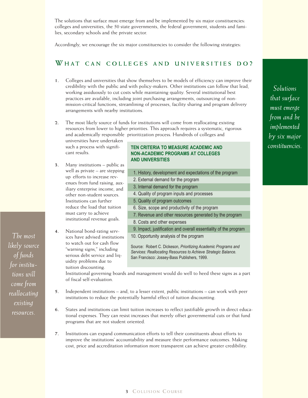The solutions that surface must emerge from and be implemented by six major constituencies: colleges and universities, the 50 state governments, the federal government, students and families, secondary schools and the private sector.

Accordingly, we encourage the six major constituencies to consider the following strategies:

## **W HAT CAN COLLEGES AND UNIVERSITIES DO ?**

- **1.** Colleges and universities that show themselves to be models of efficiency can improve their credibility with the public and with policy-makers. Other institutions can follow that lead, working assiduously to cut costs while maintaining quality. Several institutional best practices are available, including joint purchasing arrangements, outsourcing of nonmission-critical functions, streamlining of processes, facility sharing and program delivery arrangements with nearby institutions.
- **2.** The most likely source of funds for institutions will come from reallocating existing resources from lower to higher priorities. This approach requires a systematic, rigorous and academically responsible prioritization process. Hundreds of colleges and

universities have undertaken such a process with significant results.

- **3.** Many institutions public as well as private – are stepping up efforts to increase revenues from fund raising, auxiliary enterprise income, and other non-student sources. Institutions can further reduce the load that tuition must carry to achieve institutional revenue goals.
- **4.** National bond-rating services have advised institutions to watch out for cash flow "warning signs," including serious debt service and liquidity problems due to tuition discounting.

#### **TEN CRITERIA TO MEASURE ACADEMIC AND NON-ACADEMIC PROGRAMS AT COLLEGES AND UNIVERSITIES**

1. History, development and expectations of the program 2. External demand for the program 3. Internal demand for the program 4. Quality of program inputs and processes 5. Quality of program outcomes 6. Size, scope and productivity of the program 7. Revenue and other resources generated by the program 8. Costs and other expenses 9. Impact, justification and overall essentiality of the program 10. Opportunity analysis of the program

Source: Robert C. Dickeson, *Prioritizing Academic Programs and Services: Reallocating Resources to Achieve Strategic Balance.*  San Francisco: Jossey-Bass Publishers, 1999.

Institutional governing boards and management would do well to heed these signs as a part of fiscal self-evaluation.

- **5.** Independent institutions and, to a lesser extent, public institutions can work with peer institutions to reduce the potentially harmful effect of tuition discounting.
- **6.** States and institutions can limit tuition increases to reflect justifiable growth in direct educational expenses. They can resist increases that merely offset governmental cuts or that fund programs that are not student oriented.
- **7.** Institutions can expand communication efforts to tell their constituents about efforts to improve the institutions' accountability and measure their performance outcomes. Making cost, price and accreditation information more transparent can achieve greater credibility.

*Solutions that surface must emerge from and be implemented by six major constituencies.*

*The most likely source of funds for institutions will come from reallocating existing resources.*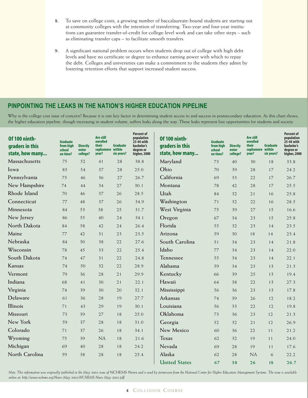- **8.** To save on college costs, a growing number of baccalaureate-bound students are starting out at community colleges with the intention of transferring. Two-year and four-year institutions can guarantee transfer-of-credit for college-level work and can take other steps – such as eliminating transfer caps – to facilitate smooth transfers.
- **9.** A significant national problem occurs when students drop out of college with high debt levels and have no certificate or degree to enhance earning power with which to repay the debt. Colleges and universities can make a commitment to the students they admit by fostering retention efforts that support increased student success.

## **PINPOINTING THE LEAKS IN THE NATION'S HIGHER EDUCATION PIPELINE**

Why is the college cost issue of concern? Because it is one key factor in determining student access to and success in postsecondary education. As this chart shows, the higher education pipeline, though increasing in student volume, suffers leaks along the way. These leaks represent lost opportunities for students and society.

| Of 100 ninth-<br>graders in this<br>state, how many | <b>Graduate</b><br>from high<br>school<br>on time? | <b>Directly</b><br>enter<br>college? | Are still<br>enrolled<br>their<br>sophomore within<br>year? | <b>Graduate</b><br>six years? | <b>Percent of</b><br>population<br>25-44 with<br>bachelor's<br>degree or<br>higher, 2000 | <b>Of 100 ninth-</b><br>graders in this<br>state, how many | <b>Graduate</b><br>from high<br>school<br>on time? | <b>Directly</b><br>enter<br>college? | Are still<br>enrolled<br>their<br>sophomore within<br>year? | Graduate<br>six years? | <b>Percent of</b><br>population<br>25-44 with<br>bachelor's<br>degree or<br>higher, 2000 |
|-----------------------------------------------------|----------------------------------------------------|--------------------------------------|-------------------------------------------------------------|-------------------------------|------------------------------------------------------------------------------------------|------------------------------------------------------------|----------------------------------------------------|--------------------------------------|-------------------------------------------------------------|------------------------|------------------------------------------------------------------------------------------|
| Massachusetts                                       | 75                                                 | 52                                   | 41                                                          | 28                            | 38.8                                                                                     | Maryland                                                   | 73                                                 | 40                                   | 30                                                          | 18                     | 33.8                                                                                     |
| Iowa                                                | 83                                                 | 54                                   | 37                                                          | 28                            | 25.0                                                                                     | Ohio                                                       | 70                                                 | 39                                   | 28                                                          | 17                     | 24.2                                                                                     |
| Pennsylvania                                        | 75                                                 | 46                                   | 36                                                          | 27                            | 26.7                                                                                     | California                                                 | 69                                                 | 33                                   | 22                                                          | 17                     | 26.7                                                                                     |
| New Hampshire                                       | 74                                                 | 44                                   | 34                                                          | 27                            | 30.1                                                                                     | Montana                                                    | 78                                                 | 42                                   | 28                                                          | 17                     | 25.5                                                                                     |
| Rhode Island                                        | 70                                                 | 46                                   | 37                                                          | 26                            | 28.5                                                                                     | Utah                                                       | 84                                                 | 32                                   | 21                                                          | 16                     | 25.8                                                                                     |
| Connecticut                                         | 77                                                 | 48                                   | 37                                                          | 26                            | 34.9                                                                                     | Washington                                                 | 71                                                 | 32                                   | 22                                                          | 16                     | 28.5                                                                                     |
| Minnesota                                           | 84                                                 | 53                                   | 38                                                          | 25                            | 31.7                                                                                     | West Virginia                                              | 75                                                 | 39                                   | 27                                                          | 15                     | 16.6                                                                                     |
| New Jersey                                          | 86                                                 | 55                                   | 40                                                          | 24                            | 34.1                                                                                     | Oregon                                                     | 67                                                 | 34                                   | 23                                                          | 15                     | 25.8                                                                                     |
| North Dakota                                        | 84                                                 | 58                                   | 42                                                          | 24                            | 26.4                                                                                     | Florida                                                    | 55                                                 | 32                                   | 23                                                          | 14                     | 23.5                                                                                     |
| Maine                                               | 77                                                 | 42                                   | 31                                                          | 23                            | 23.5                                                                                     | Arizona                                                    | 59                                                 | 30                                   | 18                                                          | 14                     | 23.4                                                                                     |
| Nebraska                                            | 84                                                 | 50                                   | 38                                                          | 22                            | 27.6                                                                                     | South Carolina                                             | 51                                                 | 34                                   | 23                                                          | 14                     | 21.8                                                                                     |
| Wisconsin                                           | 78                                                 | 45                                   | 33                                                          | 22                            | 25.4                                                                                     | Idaho                                                      | 77                                                 | 34                                   | 23                                                          | 14                     | 22.0                                                                                     |
| South Dakota                                        | 74                                                 | 47                                   | 31                                                          | 22                            | 24.8                                                                                     | Tennessee                                                  | 55                                                 | 34                                   | 23                                                          | 14                     | 22.1                                                                                     |
| Kansas                                              | 74                                                 | 50                                   | 32                                                          | 22                            | 28.9                                                                                     | Alabama                                                    | 59                                                 | 34                                   | 23                                                          | 13                     | 21.3                                                                                     |
| Vermont                                             | 79                                                 | 36                                   | 28                                                          | 21                            | 29.9                                                                                     | Kentucky                                                   | 66                                                 | 39                                   | 25                                                          | 13                     | 19.4                                                                                     |
| Indiana                                             | 68                                                 | 41                                   | 30                                                          | 21                            | 22.1                                                                                     | Hawaii                                                     | 64                                                 | 38                                   | 22                                                          | 13                     | 27.3                                                                                     |
| Virginia                                            | 74                                                 | 39                                   | 30                                                          | 20                            | 32.1                                                                                     | Mississippi                                                | 56                                                 | 36                                   | 23                                                          | 13                     | 17.8                                                                                     |
| Delaware                                            | 61                                                 | 36                                   | 28                                                          | 19                            | 27.7                                                                                     | Arkansas                                                   | 74                                                 | 39                                   | 26                                                          | 12                     | 18.2                                                                                     |
| Illinois                                            | 71                                                 | 43                                   | 29                                                          | 19                            | 30.1                                                                                     | Louisiana                                                  | 56                                                 | 33                                   | 22                                                          | 12                     | 19.8                                                                                     |
| Missouri                                            | 73                                                 | 39                                   | 27                                                          | 18                            | 25.0                                                                                     | Oklahoma                                                   | 73                                                 | 36                                   | 23                                                          | 12                     | 21.3                                                                                     |
| New York                                            | 59                                                 | 37                                   | 28                                                          | 18                            | 31.0                                                                                     | Georgia                                                    | 52                                                 | 32                                   | 21                                                          | 12                     | 26.9                                                                                     |
| Colorado                                            | 71                                                 | 37                                   | 26                                                          | 18                            | 34.1                                                                                     | <b>New Mexico</b>                                          | 60                                                 | 36                                   | 22                                                          | 11                     | 21.2                                                                                     |
| Wyoming                                             | 75                                                 | 39                                   | NA                                                          | 18                            | 21.6                                                                                     | <b>Texas</b>                                               | 62                                                 | 32                                   | 19                                                          | 11                     | 24.0                                                                                     |
| Michigan                                            | 69                                                 | 40                                   | 28                                                          | 18                            | 24.2                                                                                     | Nevada                                                     | 69                                                 | 28                                   | 19                                                          | 11                     | 17.6                                                                                     |
| North Carolina                                      | 59                                                 | 38                                   | 28                                                          | $1\,8$                        | 25.4                                                                                     | Alaska                                                     | 62                                                 | 28                                   | NA                                                          | 6                      | 22.2                                                                                     |
|                                                     |                                                    |                                      |                                                             |                               |                                                                                          | <b>United States</b>                                       | 67                                                 | 38                                   | 26                                                          | 18                     | 26.7                                                                                     |

Note: This information was originally published in the May 2003 issue of NCHEMS News and is used by permission from the National Center for Higher Education Management Systems. The issue is available *online at: http://www.nchems.org/News-May 2003/NCHEMS News May 2003.pdf*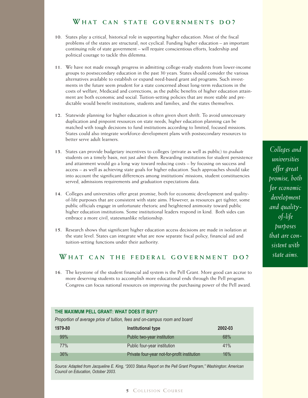## **W HAT CAN STATE GOVERNMENTS DO ?**

- **10.** States play a critical, historical role in supporting higher education. Most of the fiscal problems of the states are structural, not cyclical. Funding higher education – an important continuing role of state government – will require conscientious efforts, leadership and political courage to tackle this dilemma.
- **11.** We have not made enough progress in admitting college-ready students from lower-income groups to postsecondary education in the past 30 years. States should consider the various alternatives available to establish or expand need-based grant aid programs. Such investments in the future seem prudent for a state concerned about long-term reductions in the costs of welfare, Medicaid and corrections, as the public benefits of higher education attainment are both economic and social. Tuition-setting policies that are more stable and predictable would benefit institutions, students and families, and the states themselves.
- **12.** Statewide planning for higher education is often given short shrift. To avoid unnecessary duplication and pinpoint resources on state needs, higher education planning can be matched with tough decisions to fund institutions according to limited, focused missions. States could also integrate workforce-development plans with postsecondary resources to better serve adult learners.
- **13.** States can provide budgetary incentives to colleges (private as well as public) to *graduate* students on a timely basis, not just *admit* them. Rewarding institutions for student persistence and attainment would go a long way toward reducing costs – by focusing on success and access – as well as achieving state goals for higher education. Such approaches should take into account the significant differences among institutions' missions, student constituencies served, admissions requirements and graduation expectations data.
- **14.** Colleges and universities offer great promise, both for economic development and qualityof-life purposes that are consistent with state aims. However, as resources get tighter, some public officials engage in unfortunate rhetoric and heightened animosity toward public higher education institutions. Some institutional leaders respond in kind. Both sides can embrace a more civil, statesmanlike relationship.
- **15.** Research shows that significant higher education access decisions are made in isolation at the state level. States can integrate what are now separate fiscal policy, financial aid and tuition-setting functions under their authority.

## **W HAT CAN THE FEDERAL GOVERNMENT DO ?**

**16.** The keystone of the student financial aid system is the Pell Grant. More good can accrue to more deserving students to accomplish more educational ends through the Pell program. Congress can focus national resources on improving the purchasing power of the Pell award.

#### **THE MAXIMUM PELL GRANT: WHAT DOES IT BUY?**

*Proportion of average price of tuition, fees and on-campus room and board*

| 1979-80 | Institutional type                           | 2002-03 |
|---------|----------------------------------------------|---------|
| 99%     | Public two-year institution                  | 68%     |
| 77%     | Public four-year institution                 | 41%     |
| 36%     | Private four-year not-for-profit institution | 16%     |

*Source: Adapted from Jacqueline E. King, "2003 Status Report on the Pell Grant Program," Washington: American Council on Education, October 2003.*

*Colleges and universities offer great promise, both for economic development and qualityof-life purposes that are consistent with state aims.*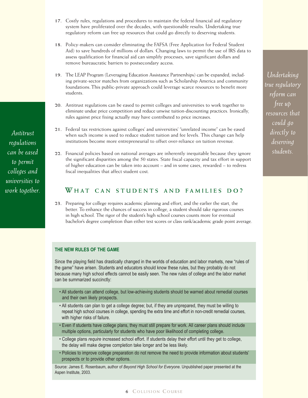- **17.** Costly rules, regulations and procedures to maintain the federal financial aid regulatory system have proliferated over the decades, with questionable results. Undertaking true regulatory reform can free up resources that could go directly to deserving students.
- **18.** Policy-makers can consider eliminating the FAFSA (Free Application for Federal Student Aid) to save hundreds of millions of dollars. Changing laws to permit the use of IRS data to assess qualification for financial aid can simplify processes, save significant dollars and remove bureaucratic barriers to postsecondary access.
- **19.** The LEAP Program (Leveraging Education Assistance Partnerships) can be expanded, including private-sector matches from organizations such as Scholarship America and community foundations. This public-private approach could leverage scarce resources to benefit more students.
- **20.** Antitrust regulations can be eased to permit colleges and universities to work together to eliminate undue price competition and reduce unwise tuition-discounting practices. Ironically, rules against price fixing actually may have contributed to price increases.
- **21.** Federal tax restrictions against colleges' and universities' "unrelated income" can be eased when such income is used to reduce student tuition and fee levels. This change can help institutions become more entrepreneurial to offset over-reliance on tuition revenue.
- **22.** Financial policies based on national averages are inherently inequitable because they ignore the significant disparities among the 50 states. State fiscal capacity and tax effort in support of higher education can be taken into account – and in some cases, rewarded – to redress fiscal inequalities that affect student cost.

## **W HAT CAN STUDENTS AND FAMILIES DO ?**

**23.** Preparing for college requires academic planning and effort, and the earlier the start, the better. To enhance the chances of success in college, a student should take rigorous courses in high school. The rigor of the student's high school courses counts more for eventual bachelor's degree completion than either test scores or class rank/academic grade point average.

#### **THE NEW RULES OF THE GAME**

Since the playing field has drastically changed in the worlds of education and labor markets, new "rules of the game" have arisen. Students and educators should know these rules, but they probably do not because many high school effects cannot be easily seen. The new rules of college and the labor market can be summarized succinctly:

- All students can attend college, but low-achieving students should be warned about remedial courses and their own likely prospects.
- All students can plan to get a college degree; but, if they are unprepared, they must be willing to repeat high school courses in college, spending the extra time and effort in non-credit remedial courses, with higher risks of failure.
- Even if students have college plans, they must still prepare for work. All career plans should include multiple options, particularly for students who have poor likelihood of completing college.
- College plans *require* increased school effort. If students delay their effort until they get to college, the delay will make degree completion take longer and be less likely.
- Policies to improve college preparation do not remove the need to provide information about students' prospects or to provide other options.

Source: James E. Rosenbaum, author of *Beyond High School for Everyone.* Unpublished paper presented at the Aspen Institute, 2003.

*Antitrust regulations can be eased to permit colleges and universities to work together.*

#### **6** COLLISION COURSE

*Undertaking true regulatory reform can free up resources that could go directly to deserving students.*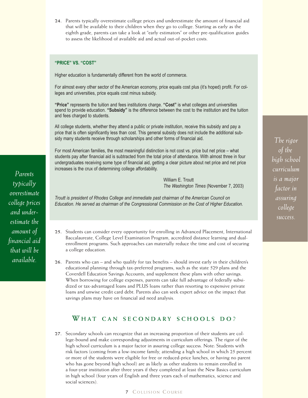**24.** Parents typically overestimate college prices and underestimate the amount of financial aid that will be available to their children when they go to college. Starting as early as the eighth grade, parents can take a look at "early estimators" or other pre-qualification guides to assess the likelihood of available aid and actual out-of-pocket costs.

#### **"PRICE" VS. "COST"**

Higher education is fundamentally different from the world of commerce.

For almost every other sector of the American economy, price equals cost plus (it's hoped) profit. For colleges and universities, price equals cost minus subsidy.

**"Price"** represents the tuition and fees institutions charge. **"Cost"** is what colleges and universities spend to provide education. **"Subsidy"** is the difference between the cost to the institution and the tuition and fees charged to students.

All college students, whether they attend a public or private institution, receive this subsidy and pay a price that is often significantly less than cost. This general subsidy does not include the additional subsidy many students receive through scholarships and other forms of financial aid.

For most American families, the most meaningful distinction is not cost vs. price but net price – what students pay after financial aid is subtracted from the total price of attendance. With almost three in four undergraduates receiving some type of financial aid, getting a clear picture about net price and net price increases is the crux of determining college affordability.

> William E. Troutt *The Washington Times* (November 7, 2003)

*Troutt is president of Rhodes College and immediate past chairman of the American Council on Education. He served as chairman of the Congressional Commission on the Cost of Higher Education.*

- **25.** Students can consider every opportunity for enrolling in Advanced Placement, International Baccalaureate, College Level Examination Program, accredited distance learning and dualenrollment programs. Such approaches can materially reduce the time and cost of securing a college education.
- **26.** Parents who can and who qualify for tax benefits should invest early in their children's educational planning through tax-preferred programs, such as the state 529 plans and the Coverdell Education Savings Accounts, and supplement these plans with other savings. When borrowing for college expenses, parents can take full advantage of federally subsidized or tax-advantaged loans and PLUS loans rather than resorting to expensive private loans and unwise credit card debt. Parents also can seek expert advice on the impact that savings plans may have on financial aid need analysis.

### **W HAT CAN SECONDARY SCHOOLS DO** ?

**27.** Secondary schools can recognize that an increasing proportion of their students are college-bound and make corresponding adjustments in curriculum offerings. The rigor of the high school curriculum is a major factor in assuring college success. Note: Students with risk factors (coming from a low-income family, attending a high school in which 25 percent or more of the students were eligible for free or reduced-price lunches, or having no parent who has gone beyond high school) are as likely as other students to remain enrolled in a four-year institution after three years if they completed at least the New Basics curriculum in high school (four years of English and three years each of mathematics, science and social sciences).

**7** C OLLISION C OURSE

*The rigor of the high school curriculum is a major factor in assuring college success.*

*Parents typically overestimate college prices and underestimate the amount of financial aid that will be available.*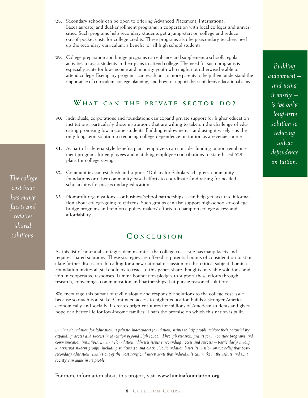- **28.** Secondary schools can be open to offering Advanced Placement, International Baccalaureate, and dual-enrollment programs in cooperation with local colleges and universities. Such programs help secondary students get a jump-start on college and reduce out-of-pocket costs for college credits. These programs also help secondary teachers beef up the secondary curriculum, a benefit for all high school students.
- **29.** College preparation and bridge programs can enhance and supplement a school's regular activities to assist students in their plans to attend college. The need for such programs is especially acute for low-income and minority youth who might not otherwise be able to attend college. Exemplary programs can reach out to more parents to help them understand the importance of curriculum, college planning, and how to support their children's educational aims.

## **W HAT CAN THE PRIVATE SECTOR DO ?**

- **30.** Individuals, corporations and foundations can expand private support for higher education institutions, particularly those institutions that are willing to take on the challenge of educating promising low-income students. Building endowment – and using it wisely – is the only long-term solution to reducing college dependence on tuition as a revenue source.
- **31.** As part of cafeteria-style benefits plans, employers can consider funding tuition-reimbursement programs for employees and matching employee contributions to state-based 529 plans for college savings.
- **32.** Communities can establish and support "Dollars for Scholars" chapters, community foundations or other community-based efforts to coordinate fund raising for needed scholarships for postsecondary education.
- **33.** Nonprofit organizations or business/school partnerships can help get accurate information about college-going to citizens. Such groups can also support high-school-to-college bridge programs and reinforce policy-makers' efforts to champion college access and affordability.

## **C ONCLUSION**

As this list of potential strategies demonstrates, the college cost issue has many facets and requires shared solutions. These strategies are offered as potential points of consideration to stimulate further discussion. In calling for a new national discussion on this critical subject, Lumina Foundation invites all stakeholders to react to this paper, share thoughts on viable solutions, and join in cooperative responses. Lumina Foundation pledges to support these efforts through research, convenings, communication and partnerships that pursue reasoned solutions.

We encourage this pursuit of civil dialogue and responsible solutions to the college cost issue because so much is at stake. Continued access to higher education builds a stronger America, economically and socially. It creates brighter futures for millions of American students and gives hope of a better life for low-income families. That's the promise on which this nation is built.

*Lumina Foundation for Education, a private, independent foundation, strives to help people achieve their potential by expanding access and success in education beyond high school. Through research, grants for innovative programs and communication initiatives, Lumina Foundation addresses issues surrounding access and success* – *particularly among underserved student groups, including students 25 and older. The Foundation bases its mission on the belief that postsecondary education remains one of the most beneficial investments that individuals can make in themselves and that society can make in its people.*

For more information about this project, visit **www.luminafoundation.org**.

*The college cost issue has many facets and requires shared solutions.*

## *Building endowment – and using it wisely – is the only long-term solution to reducing college dependence on tuition.*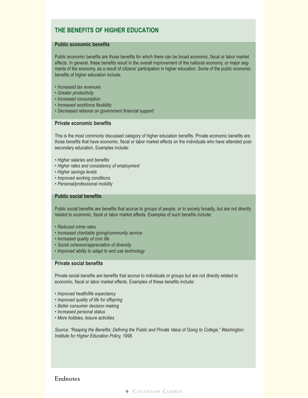## **THE BENEFITS OF HIGHER EDUCATION**

#### **Public economic benefits**

Public economic benefits are those benefits for which there can be broad economic, fiscal or labor market effects. In general, these benefits result in the overall improvement of the national economy, or major segments of the economy, as a result of citizens' participation in higher education. Some of the public economic benefits of higher education include:

- *Increased tax revenues*
- *Greater productivity*
- *Increased consumption*
- *Increased workforce flexibility*
- *Decreased reliance on government financial support*

#### **Private economic benefits**

This is the most commonly discussed category of higher education benefits. Private economic benefits are those benefits that have economic, fiscal or labor market effects on the individuals who have attended postsecondary education. Examples include:

- *Higher salaries and benefits*
- *Higher rates and consistency of employment*
- *Higher savings levels*
- *Improved working conditions*
- *Personal/professional mobility*

#### **Public social benefits**

Public social benefits are benefits that accrue to groups of people, or to society broadly, but are not directly related to economic, fiscal or labor market effects. Examples of such benefits include:

- *Reduced crime rates*
- *Increased charitable giving/community service*
- *Increased quality of civic life*
- *Social cohesion/appreciation of diversity*
- *Improved ability to adapt to and use technology*

#### **Private social benefits**

Private social benefits are benefits that accrue to individuals or groups but are not directly related to economic, fiscal or labor market effects. Examples of these benefits include:

- *Improved health/life expectancy*
- *Improved quality of life for offspring*
- *Better consumer decision making*
- *Increased personal status*
- *More hobbies, leisure activities*

*Source: "Reaping the Benefits: Defining the Public and Private Value of Going to College," Washington: Institute for Higher Education Policy, 1998.*

### **Endnotes**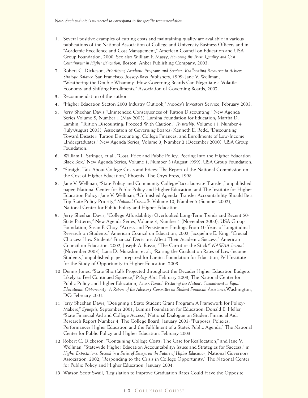*Note: Each endnote is numbered to correspond to the specific recommendation.*

- **1.** Several positive examples of cutting costs and maintaining quality are available in various publications of the National Association of College and University Business Officers and in "Academic Excellence and Cost Management," American Council on Education and USA Group Foundation, 2000. See also William F. Massy, *Honoring the Trust: Quality and Cost Containment in Higher Education,* Boston: Anker Publishing Company, 2003.
- **2.** Robert C. Dickeson, *Prioritizing Academic Programs and Services: Reallocating Resources to Achieve Strategic Balance,* San Francisco: Jossey-Bass Publishers, 1999; Jane V. Wellman, "Weathering the Double Whammy: How Governing Boards Can Negotiate a Volatile Economy and Shifting Enrollments," Association of Governing Boards, 2002.
- **3.** Recommendation of the author.
- **4.** "Higher Education Sector: 2003 Industry Outlook," Moody's Investors Service, February 2003.
- **5.** Jerry Sheehan Davis "Unintended Consequences of Tuition Discounting," New Agenda Series Volume 5, Number 1 (May 2003), Lumina Foundation for Education; Martha D. Lamkin, "Tuition Discounting: Proceed With Caution," *Trusteeship,* Volume 11, Number 4 (July/August 2003), Association of Governing Boards; Kenneth E. Redd, "Discounting Toward Disaster: Tuition Discounting, College Finances, and Enrollments of Low-Income Undergraduates," New Agenda Series, Volume 3, Number 2 (December 2000), USA Group Foundation.
- **6.** William L. Stringer, et al., "Cost, Price and Public Policy: Peering Into the Higher Education Black Box," New Agenda Series, Volume 1, Number 3 (August 1999), USA Group Foundation.
- **7.** "Straight Talk About College Costs and Prices: The Report of the National Commission on the Cost of Higher Education," Phoenix: The Oryx Press, 1998.
- **8.** Jane V. Wellman, "State Policy and Community College/Baccalaureate Transfer," unpublished paper, National Center for Public Policy and Higher Education, and The Institute for Higher Education Policy; Jane V. Wellman, "Unfinished Agenda: Transfer Accountability Should Be a Top State Policy Priority," *National Crosstalk,* Volume 10, Number 5 (Summer 2002), National Center for Public Policy and Higher Education.
- **9.** Jerry Sheehan Davis, "College Affordability: Overlooked Long-Term Trends and Recent 50- State Patterns," New Agenda Series, Volume 3, Number 1 (November 2000), USA Group Foundation; Susan P. Choy, "Access and Persistence: Findings From 10 Years of Longitudinal Research on Students," American Council on Education, 2002; Jacqueline E. King, "Crucial Choices: How Students' Financial Decisions Affect Their Academic Success," American Council on Education, 2002; Joseph A. Russo, "The Carrot or the Stick?" *NASFAA Journal* (November 2003); Lana D. Muraskin, et al., "Raising the Graduation Rates of Low-Income Students," unpublished paper prepared for Lumina Foundation for Education, Pell Institute for the Study of Opportunity in Higher Education, 2003.
- **10.** Dennis Jones, "State Shortfalls Projected throughout the Decade: Higher Education Budgets Likely to Feel Continued Squeeze," *Policy Alert,* February 2003, The National Center for Public Policy and Higher Education; *Access Denied: Restoring the Nation's Commitment to Equal Educational Opportunity: A Report of the Advisory Committee on Student Financial Assistance,*Washington, DC: February 2001.
- **11.** Jerry Sheehan Davis, "Designing a State Student Grant Program: A Framework for Policy-Makers," *Synopsis,* September 2001, Lumina Foundation for Education; Donald E. Heller, "State Financial Aid and College Access," National Dialogue on Student Financial Aid, Research Report Number 4, The College Board, January 2003; "Purposes, Policies, Performance: Higher Education and the Fulfillment of a State's Public Agenda," The National Center for Public Policy and Higher Education, February 2003.
- **12.** Robert C. Dickeson, "Containing College Costs: The Case for Reallocation," and Jane V. Wellman, "Statewide Higher Education Accountability: Issues and Strategies for Success," in *Higher Expectations: Second in a Series of Essays on the Future of Higher Education,* National Governors Association, 2002; "Responding to the Crisis in College Opportunity," The National Center for Public Policy and Higher Education, January 2004.
- **13.** Watson Scott Swail, "Legislation to Improve Graduation Rates Could Have the Opposite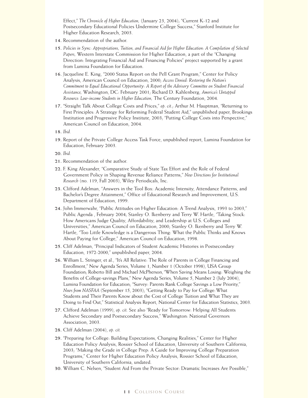Effect," *The Chronicle of Higher Education,* (January 23, 2004); "Current K-12 and Postsecondary Educational Policies Undermine College Success," Stanford Institute for Higher Education Research, 2003.

- **14.** Recommendation of the author.
- **15.** *Policies in Sync: Appropriations, Tuition, and Financial Aid for Higher Education: A Compilation of Selected Papers,* Western Interstate Commission for Higher Education, a part of the "Changing Direction: Integrating Financial Aid and Financing Policies" project supported by a grant from Lumina Foundation for Education.
- **16.** Jacqueline E. King, "2000 Status Report on the Pell Grant Program," Center for Policy Analysis, American Council on Education, 2000; *Access Denied: Restoring the Nation's Commitment to Equal Educational Opportunity: A Report of the Advisory Committee on Student Financial Assistance,* Washington, DC: February 2001; Richard D. Kahlenberg, *America's Untapped Resource: Low-income Students in Higher Education,* The Century Foundation, 2004.
- **17.** "Straight Talk About College Costs and Prices," *op. cit.*; Arthur M. Hauptman, "Returning to First Principles: A Strategy for Reforming Federal Student Aid," unpublished paper, Brookings Institution and Progressive Policy Institute, 2003; "Putting College Costs into Perspective," American Council on Education, 2004.
- **18.** *Ibid.*
- **19.** Report of the Private College Access Task Force, unpublished report, Lumina Foundation for Education, February 2003.
- **20.** *Ibid.*
- **21.** Recommendation of the author.
- **22.** F. King Alexander, "Comparative Study of State Tax Effort and the Role of Federal Government Policy in Shaping Revenue Reliance Patterns," *New Directions for Institutional Research* (no. 119, Fall 2003), Wiley Periodicals, Inc.
- **23.** Clifford Adelman, "Answers in the Tool Box: Academic Intensity, Attendance Patterns, and Bachelor's Degree Attainment," Office of Educational Research and Improvement, U.S. Department of Education, 1999.
- **24.** John Immerwahr, "Public Attitudes on Higher Education: A Trend Analysis, 1993 to 2003," Public Agenda , February 2004; Stanley O. Ikenberry and Terry W. Hartle, "Taking Stock: How Americans Judge Quality, Affordability, and Leadership at U.S. Colleges and Universities," American Council on Education, 2000; Stanley O. Ikenberry and Terry W. Hartle, "Too Little Knowledge is a Dangerous Thing: What the Public Thinks and Knows About Paying for College," American Council on Education, 1998.
- **25.** Cliff Adelman, "Principal Indicators of Student Academic Histories in Postsecondary Education, 1972-2000," unpublished paper, 2004.
- **26.** William L. Stringer, et al., "It's All Relative: The Role of Parents in College Financing and Enrollment," New Agenda Series, Volume 1, Number 1 (October 1998), USA Group Foundation; Roberto Ifill and Michael McPherson, "When Saving Means Losing: Weighing the Benefits of College-savings Plans," New Agenda Series, Volume 5, Number 2 (July 2004), Lumina Foundation for Education; "Survey: Parents Rank College Savings a Low Priority," *News from NASFAA* (September 15, 2003); "Getting Ready to Pay for College:What Students and Their Parents Know about the Cost of College Tuition and What They are Doing to Find Out," Statistical Analysis Report, National Center for Education Statistics, 2003.
- **27.** Clifford Adelman (1999), *op. cit.* See also "Ready for Tomorrow: Helping All Students Achieve Secondary and Postsecondary Success," Washington: National Governors Association, 2003.
- **28.** Cliff Adelman (2004), *op. cit.*
- **29.** "Preparing for College: Building Expectations, Changing Realities," Center for Higher Education Policy Analysis, Rossier School of Education, University of Southern California, 2003; "Making the Grade in College Prep: A Guide for Improving College Preparation Programs," Center for Higher Education Policy Analysis, Rossier School of Education, University of Southern California, undated.
- **30.** William C. Nelsen, "Student Aid From the Private Sector: Dramatic Increases Are Possible,"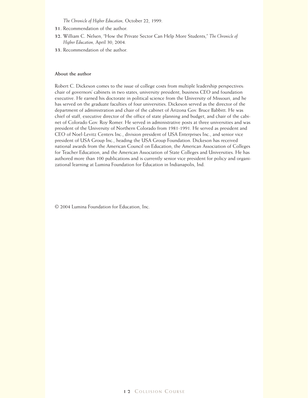*The Chronicle of Higher Education,* October 22, 1999.

- **31.** Recommendation of the author.
- **32.** William C. Nelsen, "How the Private Sector Can Help More Students," *The Chronicle of Higher Education,* April 30, 2004.
- **33.** Recommendation of the author.

#### **About the author**

Robert C. Dickeson comes to the issue of college costs from multiple leadership perspectives: chair of governors' cabinets in two states, university president, business CEO and foundation executive. He earned his doctorate in political science from the University of Missouri, and he has served on the graduate faculties of four universities. Dickeson served as the director of the department of administration and chair of the cabinet of Arizona Gov. Bruce Babbitt. He was chief of staff, executive director of the office of state planning and budget, and chair of the cabinet of Colorado Gov. Roy Romer. He served in administrative posts at three universities and was president of the University of Northern Colorado from 1981-1991. He served as president and CEO of Noel-Levitz Centers Inc., division president of USA Enterprises Inc., and senior vice president of USA Group Inc., heading the USA Group Foundation. Dickeson has received national awards from the American Council on Education, the American Association of Colleges for Teacher Education, and the American Association of State Colleges and Universities. He has authored more than 100 publications and is currently senior vice president for policy and organizational learning at Lumina Foundation for Education in Indianapolis, Ind.

© 2004 Lumina Foundation for Education, Inc.